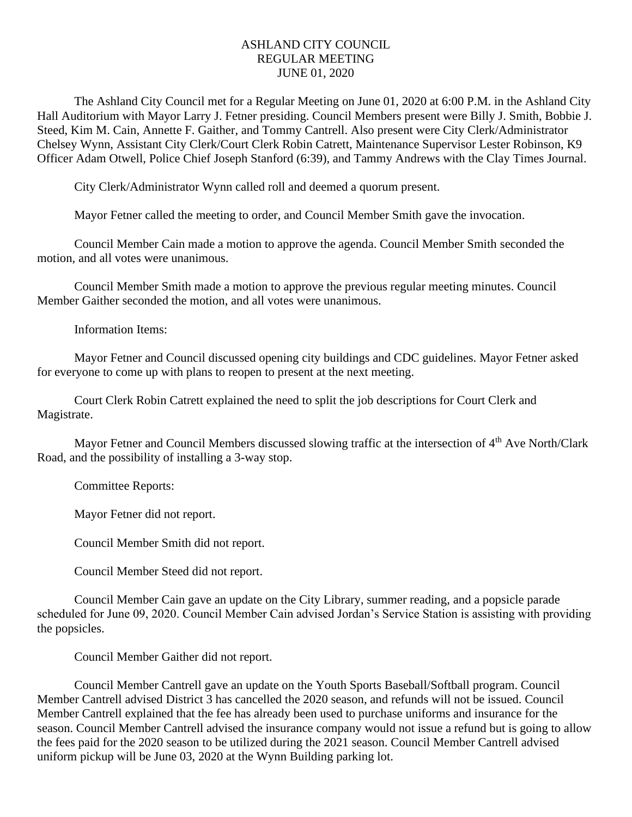## ASHLAND CITY COUNCIL REGULAR MEETING JUNE 01, 2020

The Ashland City Council met for a Regular Meeting on June 01, 2020 at 6:00 P.M. in the Ashland City Hall Auditorium with Mayor Larry J. Fetner presiding. Council Members present were Billy J. Smith, Bobbie J. Steed, Kim M. Cain, Annette F. Gaither, and Tommy Cantrell. Also present were City Clerk/Administrator Chelsey Wynn, Assistant City Clerk/Court Clerk Robin Catrett, Maintenance Supervisor Lester Robinson, K9 Officer Adam Otwell, Police Chief Joseph Stanford (6:39), and Tammy Andrews with the Clay Times Journal.

City Clerk/Administrator Wynn called roll and deemed a quorum present.

Mayor Fetner called the meeting to order, and Council Member Smith gave the invocation.

Council Member Cain made a motion to approve the agenda. Council Member Smith seconded the motion, and all votes were unanimous.

Council Member Smith made a motion to approve the previous regular meeting minutes. Council Member Gaither seconded the motion, and all votes were unanimous.

Information Items:

Mayor Fetner and Council discussed opening city buildings and CDC guidelines. Mayor Fetner asked for everyone to come up with plans to reopen to present at the next meeting.

Court Clerk Robin Catrett explained the need to split the job descriptions for Court Clerk and Magistrate.

Mayor Fetner and Council Members discussed slowing traffic at the intersection of 4<sup>th</sup> Ave North/Clark Road, and the possibility of installing a 3-way stop.

Committee Reports:

Mayor Fetner did not report.

Council Member Smith did not report.

Council Member Steed did not report.

Council Member Cain gave an update on the City Library, summer reading, and a popsicle parade scheduled for June 09, 2020. Council Member Cain advised Jordan's Service Station is assisting with providing the popsicles.

Council Member Gaither did not report.

Council Member Cantrell gave an update on the Youth Sports Baseball/Softball program. Council Member Cantrell advised District 3 has cancelled the 2020 season, and refunds will not be issued. Council Member Cantrell explained that the fee has already been used to purchase uniforms and insurance for the season. Council Member Cantrell advised the insurance company would not issue a refund but is going to allow the fees paid for the 2020 season to be utilized during the 2021 season. Council Member Cantrell advised uniform pickup will be June 03, 2020 at the Wynn Building parking lot.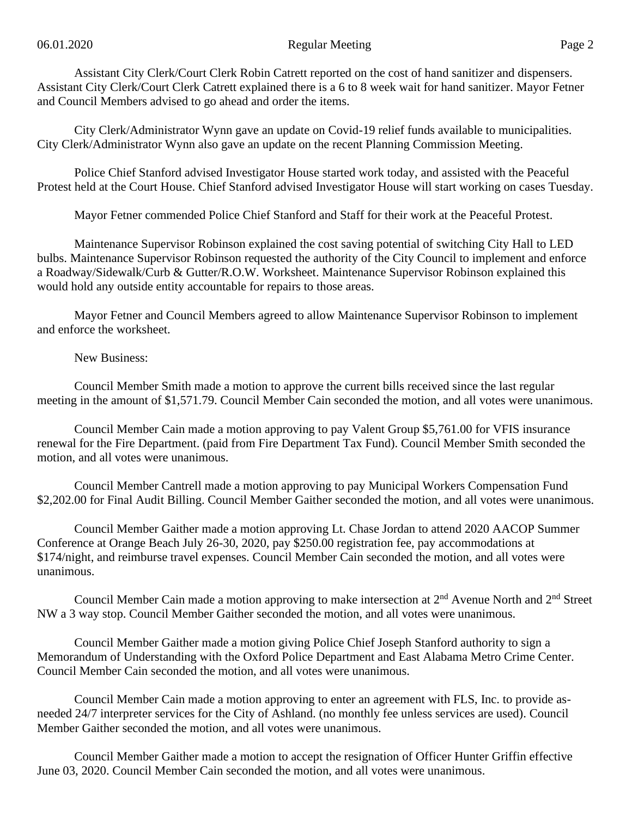Assistant City Clerk/Court Clerk Robin Catrett reported on the cost of hand sanitizer and dispensers. Assistant City Clerk/Court Clerk Catrett explained there is a 6 to 8 week wait for hand sanitizer. Mayor Fetner and Council Members advised to go ahead and order the items.

City Clerk/Administrator Wynn gave an update on Covid-19 relief funds available to municipalities. City Clerk/Administrator Wynn also gave an update on the recent Planning Commission Meeting.

Police Chief Stanford advised Investigator House started work today, and assisted with the Peaceful Protest held at the Court House. Chief Stanford advised Investigator House will start working on cases Tuesday.

Mayor Fetner commended Police Chief Stanford and Staff for their work at the Peaceful Protest.

Maintenance Supervisor Robinson explained the cost saving potential of switching City Hall to LED bulbs. Maintenance Supervisor Robinson requested the authority of the City Council to implement and enforce a Roadway/Sidewalk/Curb & Gutter/R.O.W. Worksheet. Maintenance Supervisor Robinson explained this would hold any outside entity accountable for repairs to those areas.

Mayor Fetner and Council Members agreed to allow Maintenance Supervisor Robinson to implement and enforce the worksheet.

New Business:

Council Member Smith made a motion to approve the current bills received since the last regular meeting in the amount of \$1,571.79. Council Member Cain seconded the motion, and all votes were unanimous.

Council Member Cain made a motion approving to pay Valent Group \$5,761.00 for VFIS insurance renewal for the Fire Department. (paid from Fire Department Tax Fund). Council Member Smith seconded the motion, and all votes were unanimous.

Council Member Cantrell made a motion approving to pay Municipal Workers Compensation Fund \$2,202.00 for Final Audit Billing. Council Member Gaither seconded the motion, and all votes were unanimous.

Council Member Gaither made a motion approving Lt. Chase Jordan to attend 2020 AACOP Summer Conference at Orange Beach July 26-30, 2020, pay \$250.00 registration fee, pay accommodations at \$174/night, and reimburse travel expenses. Council Member Cain seconded the motion, and all votes were unanimous.

Council Member Cain made a motion approving to make intersection at 2nd Avenue North and 2nd Street NW a 3 way stop. Council Member Gaither seconded the motion, and all votes were unanimous.

Council Member Gaither made a motion giving Police Chief Joseph Stanford authority to sign a Memorandum of Understanding with the Oxford Police Department and East Alabama Metro Crime Center. Council Member Cain seconded the motion, and all votes were unanimous.

Council Member Cain made a motion approving to enter an agreement with FLS, Inc. to provide asneeded 24/7 interpreter services for the City of Ashland. (no monthly fee unless services are used). Council Member Gaither seconded the motion, and all votes were unanimous.

Council Member Gaither made a motion to accept the resignation of Officer Hunter Griffin effective June 03, 2020. Council Member Cain seconded the motion, and all votes were unanimous.